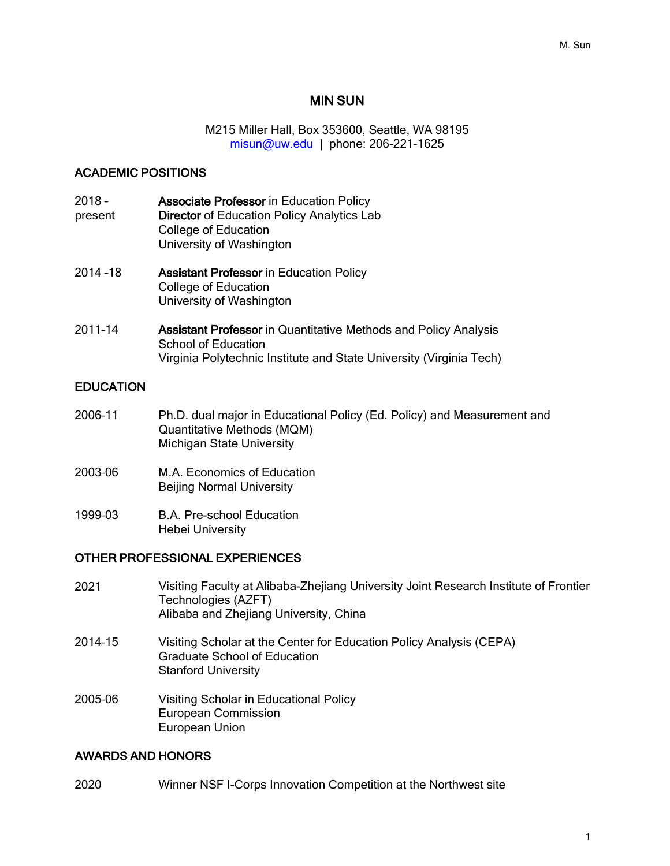#### MIN SUN

M215 Miller Hall, Box 353600, Seattle, WA 98195 misun@uw.edu | phone: 206-221-1625

#### ACADEMIC POSITIONS

- 2018 present Associate Professor in Education Policy Director of Education Policy Analytics Lab College of Education University of Washington
- 2014 –18 Assistant Professor in Education Policy College of Education University of Washington
- 2011–14 Assistant Professor in Quantitative Methods and Policy Analysis School of Education Virginia Polytechnic Institute and State University (Virginia Tech)

#### **EDUCATION**

- 2006–11 Ph.D. dual major in Educational Policy (Ed. Policy) and Measurement and Quantitative Methods (MQM) Michigan State University
- 2003–06 M.A. Economics of Education Beijing Normal University
- 1999–03 B.A. Pre-school Education Hebei University

#### OTHER PROFESSIONAL EXPERIENCES

- 2021 Visiting Faculty at Alibaba-Zhejiang University Joint Research Institute of Frontier Technologies (AZFT) Alibaba and Zhejiang University, China
- 2014–15 Visiting Scholar at the Center for Education Policy Analysis (CEPA) Graduate School of Education Stanford University
- 2005–06 Visiting Scholar in Educational Policy European Commission European Union

#### AWARDS AND HONORS

2020 Winner NSF I-Corps Innovation Competition at the Northwest site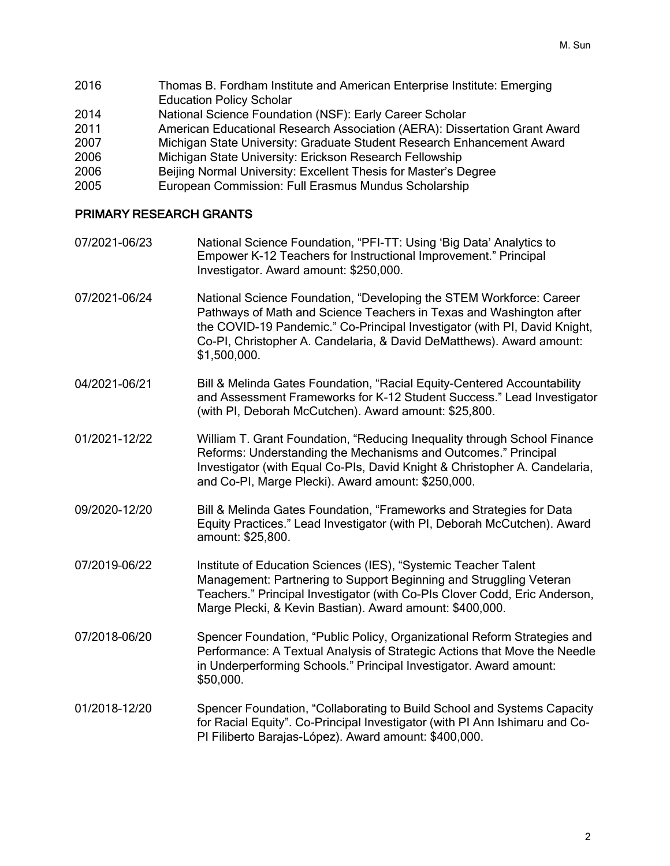Thomas B. Fordham Institute and American Enterprise Institute: Emerging Education Policy Scholar National Science Foundation (NSF): Early Career Scholar American Educational Research Association (AERA): Dissertation Grant Award Michigan State University: Graduate Student Research Enhancement Award Michigan State University: Erickson Research Fellowship Beijing Normal University: Excellent Thesis for Master's Degree European Commission: Full Erasmus Mundus Scholarship

#### PRIMARY RESEARCH GRANTS

07/2021-06/23 National Science Foundation, "PFI-TT: Using 'Big Data' Analytics to Empower K-12 Teachers for Instructional Improvement." Principal Investigator. Award amount: \$250,000. 07/2021-06/24 National Science Foundation, "Developing the STEM Workforce: Career Pathways of Math and Science Teachers in Texas and Washington after the COVID-19 Pandemic." Co-Principal Investigator (with PI, David Knight, Co-PI, Christopher A. Candelaria, & David DeMatthews). Award amount: \$1,500,000. 04/2021-06/21 Bill & Melinda Gates Foundation, "Racial Equity-Centered Accountability and Assessment Frameworks for K-12 Student Success." Lead Investigator (with PI, Deborah McCutchen). Award amount: \$25,800. 01/2021-12/22 William T. Grant Foundation, "Reducing Inequality through School Finance Reforms: Understanding the Mechanisms and Outcomes." Principal Investigator (with Equal Co-PIs, David Knight & Christopher A. Candelaria, and Co-PI, Marge Plecki). Award amount: \$250,000. 09/2020-12/20 Bill & Melinda Gates Foundation, "Frameworks and Strategies for Data Equity Practices." Lead Investigator (with PI, Deborah McCutchen). Award amount: \$25,800. 07/2019–06/22 Institute of Education Sciences (IES), "Systemic Teacher Talent Management: Partnering to Support Beginning and Struggling Veteran Teachers." Principal Investigator (with Co-PIs Clover Codd, Eric Anderson, Marge Plecki, & Kevin Bastian). Award amount: \$400,000. 07/2018–06/20 Spencer Foundation, "Public Policy, Organizational Reform Strategies and Performance: A Textual Analysis of Strategic Actions that Move the Needle in Underperforming Schools." Principal Investigator. Award amount: \$50,000. 01/2018–12/20 Spencer Foundation, "Collaborating to Build School and Systems Capacity for Racial Equity". Co-Principal Investigator (with PI Ann Ishimaru and Co-

PI Filiberto Barajas-López). Award amount: \$400,000.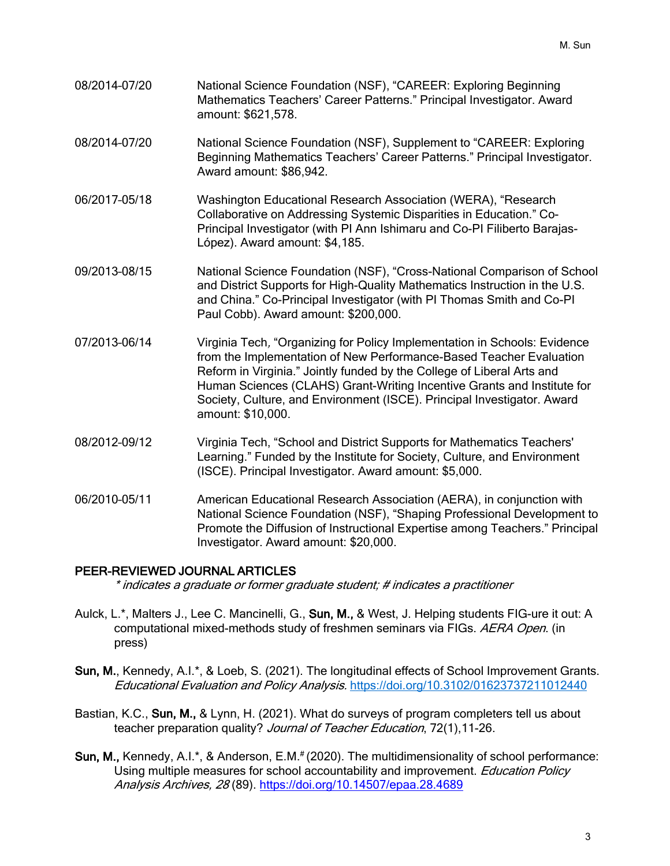- 08/2014–07/20 National Science Foundation (NSF), "CAREER: Exploring Beginning Mathematics Teachers' Career Patterns." Principal Investigator. Award amount: \$621,578.
- 08/2014–07/20 National Science Foundation (NSF), Supplement to "CAREER: Exploring Beginning Mathematics Teachers' Career Patterns." Principal Investigator. Award amount: \$86,942.
- 06/2017–05/18 Washington Educational Research Association (WERA), "Research Collaborative on Addressing Systemic Disparities in Education." Co-Principal Investigator (with PI Ann Ishimaru and Co-PI Filiberto Barajas-López). Award amount: \$4,185.
- 09/2013–08/15 National Science Foundation (NSF), "Cross-National Comparison of School and District Supports for High-Quality Mathematics Instruction in the U.S. and China." Co-Principal Investigator (with PI Thomas Smith and Co-PI Paul Cobb). Award amount: \$200,000.
- 07/2013–06/14 Virginia Tech, "Organizing for Policy Implementation in Schools: Evidence from the Implementation of New Performance-Based Teacher Evaluation Reform in Virginia." Jointly funded by the College of Liberal Arts and Human Sciences (CLAHS) Grant-Writing Incentive Grants and Institute for Society, Culture, and Environment (ISCE). Principal Investigator. Award amount: \$10,000.
- 08/2012–09/12 Virginia Tech, "School and District Supports for Mathematics Teachers' Learning." Funded by the Institute for Society, Culture, and Environment (ISCE). Principal Investigator. Award amount: \$5,000.
- 06/2010–05/11 American Educational Research Association (AERA), in conjunction with National Science Foundation (NSF), "Shaping Professional Development to Promote the Diffusion of Instructional Expertise among Teachers." Principal Investigator. Award amount: \$20,000.

### PEER-REVIEWED JOURNAL ARTICLES

\* indicates a graduate or former graduate student; # indicates a practitioner

- Aulck, L.\*, Malters J., Lee C. Mancinelli, G., Sun, M., & West, J. Helping students FIG-ure it out: A computational mixed-methods study of freshmen seminars via FIGs. AERA Open. (in press)
- Sun, M., Kennedy, A.I.\*, & Loeb, S. (2021). The longitudinal effects of School Improvement Grants. Educational Evaluation and Policy Analysis. https://doi.org/10.3102/01623737211012440
- Bastian, K.C., Sun, M., & Lynn, H. (2021). What do surveys of program completers tell us about teacher preparation quality? Journal of Teacher Education, 72(1), 11-26.
- Sun, M., Kennedy, A.I.\*, & Anderson, E.M.# (2020). The multidimensionality of school performance: Using multiple measures for school accountability and improvement. Education Policy Analysis Archives, 28 (89). https://doi.org/10.14507/epaa.28.4689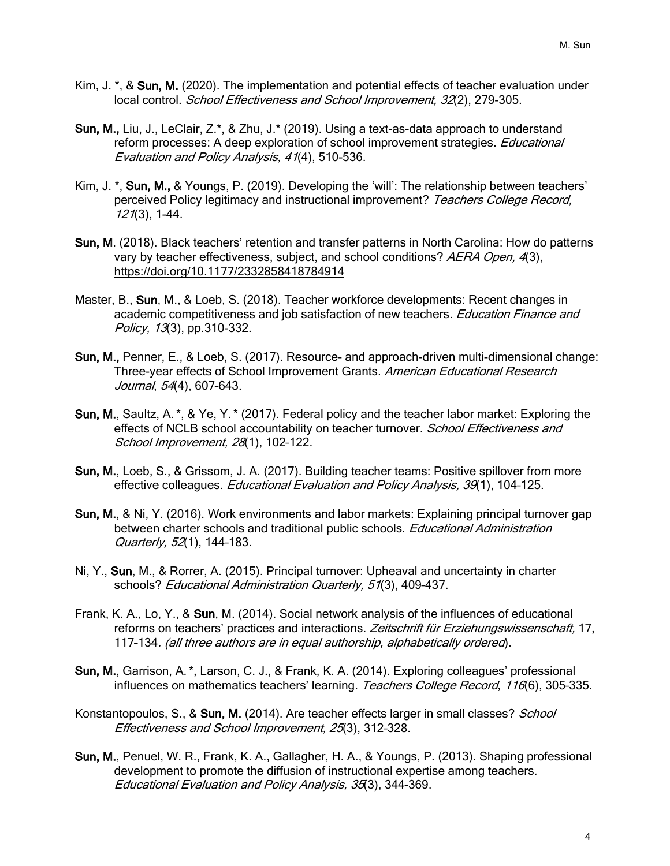- Kim, J. \*, & Sun, M. (2020). The implementation and potential effects of teacher evaluation under local control. School Effectiveness and School Improvement, 32(2), 279-305.
- Sun, M., Liu, J., LeClair, Z.\*, & Zhu, J.\* (2019). Using a text-as-data approach to understand reform processes: A deep exploration of school improvement strategies. *Educational* Evaluation and Policy Analysis, 41(4), 510-536.
- Kim, J. \*, Sun, M., & Youngs, P. (2019). Developing the 'will': The relationship between teachers' perceived Policy legitimacy and instructional improvement? Teachers College Record, 121(3), 1-44.
- Sun, M. (2018). Black teachers' retention and transfer patterns in North Carolina: How do patterns vary by teacher effectiveness, subject, and school conditions? AERA Open, 4(3), https://doi.org/10.1177/2332858418784914
- Master, B., Sun, M., & Loeb, S. (2018). Teacher workforce developments: Recent changes in academic competitiveness and job satisfaction of new teachers. Education Finance and Policy, 13(3), pp.310-332.
- Sun, M., Penner, E., & Loeb, S. (2017). Resource- and approach-driven multi-dimensional change: Three-year effects of School Improvement Grants. American Educational Research Journal, 54(4), 607–643.
- Sun, M., Saultz, A.\*, & Ye, Y.\* (2017). Federal policy and the teacher labor market: Exploring the effects of NCLB school accountability on teacher turnover. School Effectiveness and School Improvement, 28(1), 102–122.
- Sun, M., Loeb, S., & Grissom, J. A. (2017). Building teacher teams: Positive spillover from more effective colleagues. *Educational Evaluation and Policy Analysis, 39*(1), 104-125.
- Sun, M., & Ni, Y. (2016). Work environments and labor markets: Explaining principal turnover gap between charter schools and traditional public schools. *Educational Administration* Quarterly, 52(1), 144–183.
- Ni, Y., Sun, M., & Rorrer, A. (2015). Principal turnover: Upheaval and uncertainty in charter schools? Educational Administration Quarterly, 51(3), 409-437.
- Frank, K. A., Lo, Y., & Sun, M. (2014). Social network analysis of the influences of educational reforms on teachers' practices and interactions. Zeitschrift für Erziehungswissenschaft, 17, 117–134. (all three authors are in equal authorship, alphabetically ordered).
- Sun, M., Garrison, A.\*, Larson, C. J., & Frank, K. A. (2014). Exploring colleagues' professional influences on mathematics teachers' learning. Teachers College Record, 116(6), 305-335.
- Konstantopoulos, S., & Sun, M. (2014). Are teacher effects larger in small classes? School Effectiveness and School Improvement, 25(3), 312–328.
- Sun, M., Penuel, W. R., Frank, K. A., Gallagher, H. A., & Youngs, P. (2013). Shaping professional development to promote the diffusion of instructional expertise among teachers. Educational Evaluation and Policy Analysis, 35(3), 344–369.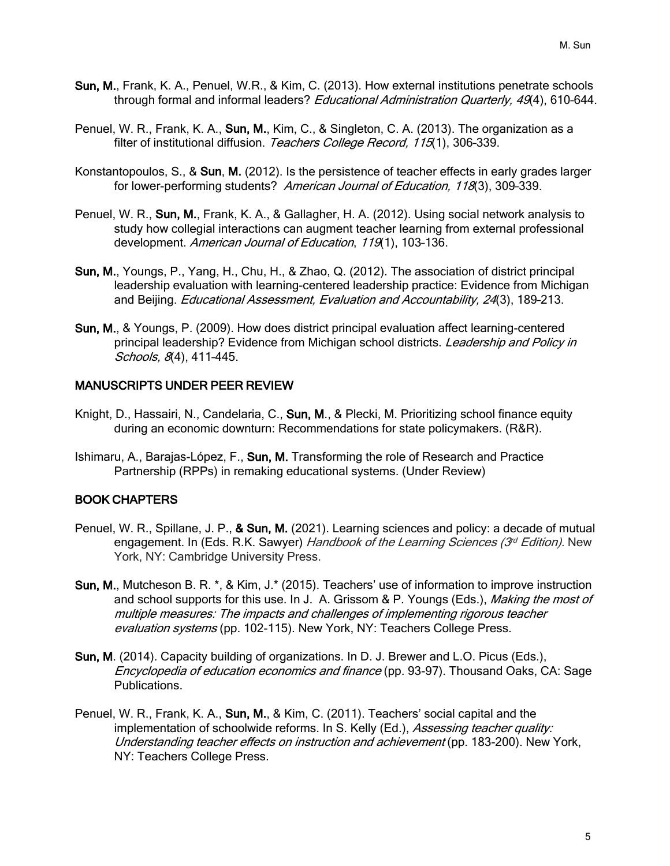- Sun, M., Frank, K. A., Penuel, W.R., & Kim, C. (2013). How external institutions penetrate schools through formal and informal leaders? *Educational Administration Quarterly, 49*(4), 610-644.
- Penuel, W. R., Frank, K. A., Sun, M., Kim, C., & Singleton, C. A. (2013). The organization as a filter of institutional diffusion. Teachers College Record, 115(1), 306-339.
- Konstantopoulos, S., & Sun, M. (2012). Is the persistence of teacher effects in early grades larger for lower-performing students? American Journal of Education, 118(3), 309-339.
- Penuel, W. R., Sun, M., Frank, K. A., & Gallagher, H. A. (2012). Using social network analysis to study how collegial interactions can augment teacher learning from external professional development. American Journal of Education, 119(1), 103-136.
- Sun, M., Youngs, P., Yang, H., Chu, H., & Zhao, Q. (2012). The association of district principal leadership evaluation with learning-centered leadership practice: Evidence from Michigan and Beijing. *Educational Assessment, Evaluation and Accountability, 24*(3), 189-213.
- Sun, M., & Youngs, P. (2009). How does district principal evaluation affect learning-centered principal leadership? Evidence from Michigan school districts. Leadership and Policy in Schools, 8(4), 411-445.

#### MANUSCRIPTS UNDER PEER REVIEW

- Knight, D., Hassairi, N., Candelaria, C., Sun, M., & Plecki, M. Prioritizing school finance equity during an economic downturn: Recommendations for state policymakers. (R&R).
- Ishimaru, A., Barajas-López, F., Sun, M. Transforming the role of Research and Practice Partnership (RPPs) in remaking educational systems. (Under Review)

### BOOK CHAPTERS

- Penuel, W. R., Spillane, J. P., & Sun, M. (2021). Learning sciences and policy: a decade of mutual engagement. In (Eds. R.K. Sawyer) Handbook of the Learning Sciences ( $3<sup>d</sup>$  Edition). New York, NY: Cambridge University Press.
- Sun, M., Mutcheson B. R. \*, & Kim, J.\* (2015). Teachers' use of information to improve instruction and school supports for this use. In J. A. Grissom & P. Youngs (Eds.), Making the most of multiple measures: The impacts and challenges of implementing rigorous teacher evaluation systems (pp. 102-115). New York, NY: Teachers College Press.
- Sun, M. (2014). Capacity building of organizations. In D. J. Brewer and L.O. Picus (Eds.), Encyclopedia of education economics and finance (pp. 93-97). Thousand Oaks, CA: Sage Publications.
- Penuel, W. R., Frank, K. A., Sun, M., & Kim, C. (2011). Teachers' social capital and the implementation of schoolwide reforms. In S. Kelly (Ed.), Assessing teacher quality: Understanding teacher effects on instruction and achievement (pp. 183-200). New York, NY: Teachers College Press.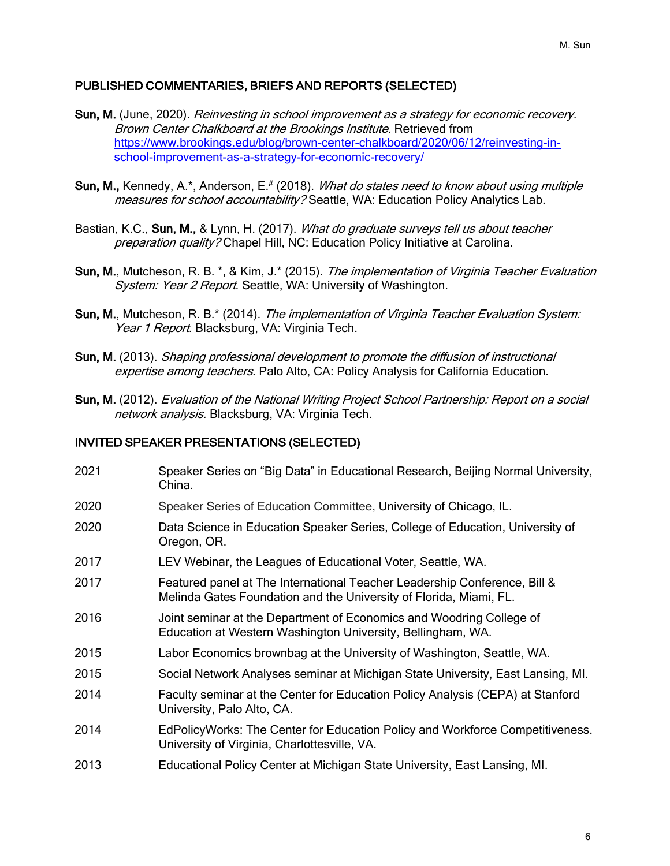### PUBLISHED COMMENTARIES, BRIEFS AND REPORTS (SELECTED)

- Sun, M. (June, 2020). Reinvesting in school improvement as a strategy for economic recovery. Brown Center Chalkboard at the Brookings Institute. Retrieved from https://www.brookings.edu/blog/brown-center-chalkboard/2020/06/12/reinvesting-inschool-improvement-as-a-strategy-for-economic-recovery/
- Sun, M., Kennedy, A.\*, Anderson, E.<sup>#</sup> (2018). *What do states need to know about using multiple* measures for school accountability? Seattle, WA: Education Policy Analytics Lab.
- Bastian, K.C., Sun, M., & Lynn, H. (2017). What do graduate surveys tell us about teacher preparation quality? Chapel Hill, NC: Education Policy Initiative at Carolina.
- Sun, M., Mutcheson, R. B. \*, & Kim, J.\* (2015). The implementation of Virginia Teacher Evaluation System: Year 2 Report. Seattle, WA: University of Washington.
- Sun, M., Mutcheson, R. B.\* (2014). The implementation of Virginia Teacher Evaluation System: Year 1 Report. Blacksburg, VA: Virginia Tech.
- Sun, M. (2013). Shaping professional development to promote the diffusion of instructional expertise among teachers. Palo Alto, CA: Policy Analysis for California Education.
- Sun, M. (2012). Evaluation of the National Writing Project School Partnership: Report on a social network analysis. Blacksburg, VA: Virginia Tech.

### INVITED SPEAKER PRESENTATIONS (SELECTED)

 Speaker Series on "Big Data" in Educational Research, Beijing Normal University, China. Speaker Series of Education Committee, University of Chicago, IL. Data Science in Education Speaker Series, College of Education, University of Oregon, OR. LEV Webinar, the Leagues of Educational Voter, Seattle, WA. Featured panel at The International Teacher Leadership Conference, Bill & Melinda Gates Foundation and the University of Florida, Miami, FL. Joint seminar at the Department of Economics and Woodring College of Education at Western Washington University, Bellingham, WA. Labor Economics brownbag at the University of Washington, Seattle, WA. Social Network Analyses seminar at Michigan State University, East Lansing, MI. Faculty seminar at the Center for Education Policy Analysis (CEPA) at Stanford University, Palo Alto, CA. EdPolicyWorks: The Center for Education Policy and Workforce Competitiveness. University of Virginia, Charlottesville, VA. Educational Policy Center at Michigan State University, East Lansing, MI.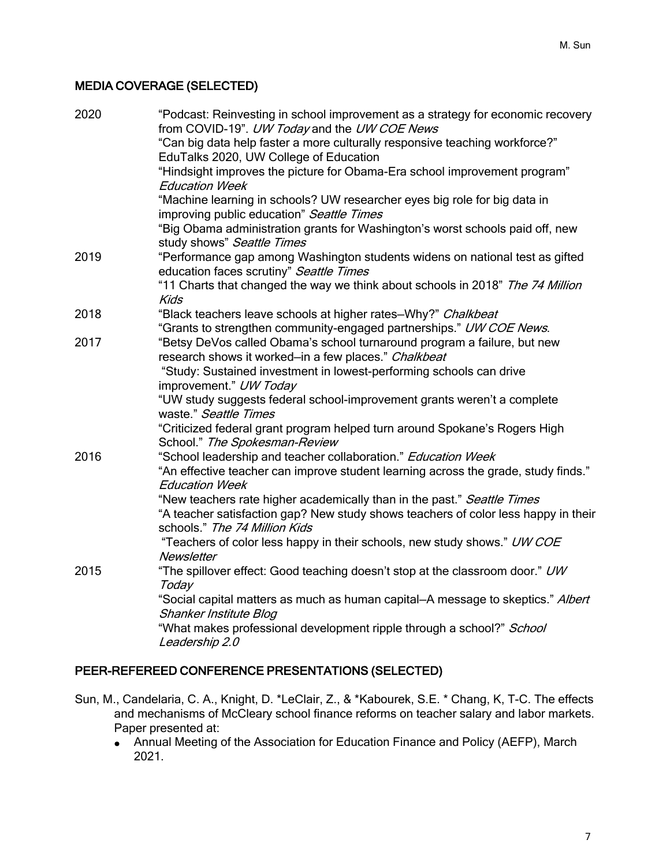## MEDIA COVERAGE (SELECTED)

| 2020 | "Podcast: Reinvesting in school improvement as a strategy for economic recovery<br>from COVID-19". UW Today and the UW COE News |
|------|---------------------------------------------------------------------------------------------------------------------------------|
|      | "Can big data help faster a more culturally responsive teaching workforce?"                                                     |
|      | EduTalks 2020, UW College of Education                                                                                          |
|      | "Hindsight improves the picture for Obama-Era school improvement program"                                                       |
|      | <b>Education Week</b>                                                                                                           |
|      | "Machine learning in schools? UW researcher eyes big role for big data in                                                       |
|      | improving public education" Seattle Times                                                                                       |
|      | "Big Obama administration grants for Washington's worst schools paid off, new                                                   |
| 2019 | study shows" Seattle Times<br>"Performance gap among Washington students widens on national test as gifted                      |
|      | education faces scrutiny" Seattle Times                                                                                         |
|      | "11 Charts that changed the way we think about schools in 2018" The 74 Million                                                  |
|      | <b>Kids</b>                                                                                                                     |
| 2018 | "Black teachers leave schools at higher rates-Why?" Chalkbeat                                                                   |
|      | "Grants to strengthen community-engaged partnerships." UW COE News.                                                             |
| 2017 | "Betsy DeVos called Obama's school turnaround program a failure, but new                                                        |
|      | research shows it worked-in a few places." Chalkbeat                                                                            |
|      | "Study: Sustained investment in lowest-performing schools can drive                                                             |
|      | improvement." UW Today                                                                                                          |
|      | "UW study suggests federal school-improvement grants weren't a complete                                                         |
|      | waste." Seattle Times                                                                                                           |
|      | "Criticized federal grant program helped turn around Spokane's Rogers High<br>School." The Spokesman-Review                     |
| 2016 | "School leadership and teacher collaboration." Education Week                                                                   |
|      | "An effective teacher can improve student learning across the grade, study finds."<br><b>Education Week</b>                     |
|      | "New teachers rate higher academically than in the past." Seattle Times                                                         |
|      | "A teacher satisfaction gap? New study shows teachers of color less happy in their<br>schools." The 74 Million Kids             |
|      | "Teachers of color less happy in their schools, new study shows." UW COE                                                        |
|      | <b>Newsletter</b>                                                                                                               |
| 2015 | "The spillover effect: Good teaching doesn't stop at the classroom door." UW<br>Today                                           |
|      | "Social capital matters as much as human capital-A message to skeptics." Albert                                                 |
|      | Shanker Institute Blog                                                                                                          |
|      | "What makes professional development ripple through a school?" School<br>Leadership 2.0                                         |
|      |                                                                                                                                 |

## PEER-REFEREED CONFERENCE PRESENTATIONS (SELECTED)

- Sun, M., Candelaria, C. A., Knight, D. \*LeClair, Z., & \*Kabourek, S.E. \* Chang, K, T-C. The effects and mechanisms of McCleary school finance reforms on teacher salary and labor markets. Paper presented at:
	- Annual Meeting of the Association for Education Finance and Policy (AEFP), March 2021.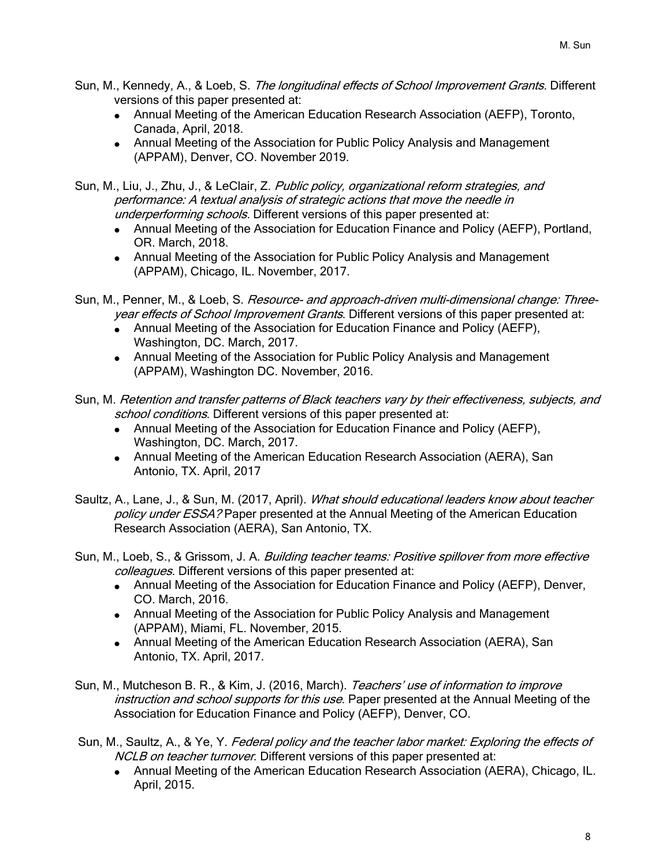- Sun, M., Kennedy, A., & Loeb, S. *The longitudinal effects of School Improvement Grants.* Different versions of this paper presented at:
	- Annual Meeting of the American Education Research Association (AEFP), Toronto, Canada, April, 2018.
	- Annual Meeting of the Association for Public Policy Analysis and Management (APPAM), Denver, CO. November 2019.

Sun, M., Liu, J., Zhu, J., & LeClair, Z. Public policy, organizational reform strategies, and performance: A textual analysis of strategic actions that move the needle in underperforming schools. Different versions of this paper presented at:

- Annual Meeting of the Association for Education Finance and Policy (AEFP), Portland, OR. March, 2018.
- Annual Meeting of the Association for Public Policy Analysis and Management (APPAM), Chicago, IL. November, 2017.

Sun, M., Penner, M., & Loeb, S. Resource- and approach-driven multi-dimensional change: Threeyear effects of School Improvement Grants. Different versions of this paper presented at:

- Annual Meeting of the Association for Education Finance and Policy (AEFP), Washington, DC. March, 2017.
- Annual Meeting of the Association for Public Policy Analysis and Management (APPAM), Washington DC. November, 2016.

Sun, M. Retention and transfer patterns of Black teachers vary by their effectiveness, subjects, and school conditions. Different versions of this paper presented at:

- Annual Meeting of the Association for Education Finance and Policy (AEFP), Washington, DC. March, 2017.
- Annual Meeting of the American Education Research Association (AERA), San Antonio, TX. April, 2017

Saultz, A., Lane, J., & Sun, M. (2017, April). What should educational leaders know about teacher policy under ESSA? Paper presented at the Annual Meeting of the American Education Research Association (AERA), San Antonio, TX.

- Sun, M., Loeb, S., & Grissom, J. A. *Building teacher teams: Positive spillover from more effective* colleagues. Different versions of this paper presented at:
	- Annual Meeting of the Association for Education Finance and Policy (AEFP), Denver, CO. March, 2016.
	- Annual Meeting of the Association for Public Policy Analysis and Management (APPAM), Miami, FL. November, 2015.
	- Annual Meeting of the American Education Research Association (AERA), San Antonio, TX. April, 2017.
- Sun, M., Mutcheson B. R., & Kim, J. (2016, March). Teachers' use of information to improve instruction and school supports for this use. Paper presented at the Annual Meeting of the Association for Education Finance and Policy (AEFP), Denver, CO.

Sun, M., Saultz, A., & Ye, Y. Federal policy and the teacher labor market: Exploring the effects of NCLB on teacher turnover. Different versions of this paper presented at:

• Annual Meeting of the American Education Research Association (AERA), Chicago, IL. April, 2015.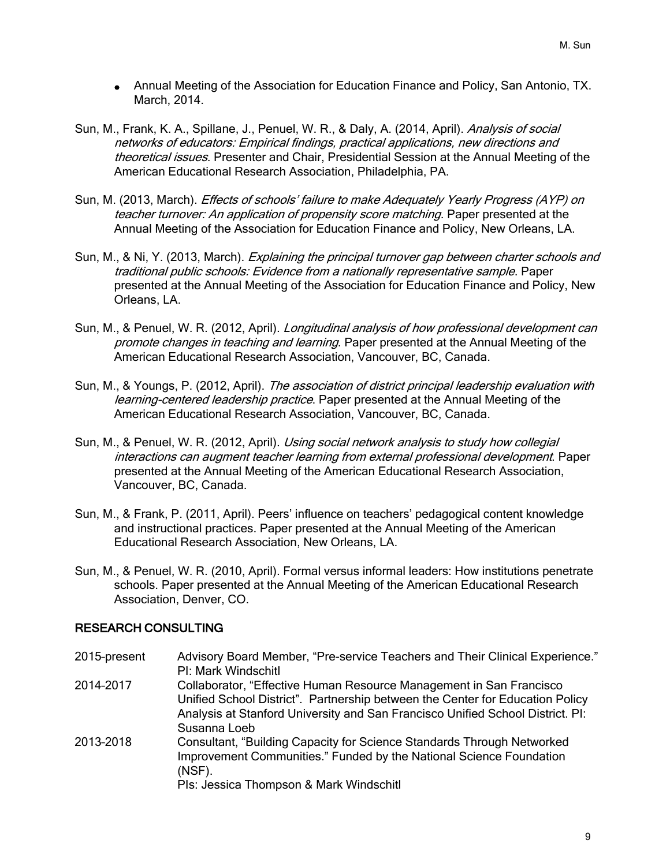- Annual Meeting of the Association for Education Finance and Policy, San Antonio, TX. March, 2014.
- Sun, M., Frank, K. A., Spillane, J., Penuel, W. R., & Daly, A. (2014, April). Analysis of social networks of educators: Empirical findings, practical applications, new directions and theoretical issues. Presenter and Chair, Presidential Session at the Annual Meeting of the American Educational Research Association, Philadelphia, PA.
- Sun, M. (2013, March). *Effects of schools' failure to make Adequately Yearly Progress (AYP) on* teacher turnover: An application of propensity score matching. Paper presented at the Annual Meeting of the Association for Education Finance and Policy, New Orleans, LA.
- Sun, M., & Ni, Y. (2013, March). Explaining the principal turnover gap between charter schools and traditional public schools: Evidence from a nationally representative sample. Paper presented at the Annual Meeting of the Association for Education Finance and Policy, New Orleans, LA.
- Sun, M., & Penuel, W. R. (2012, April). *Longitudinal analysis of how professional development can* promote changes in teaching and learning. Paper presented at the Annual Meeting of the American Educational Research Association, Vancouver, BC, Canada.
- Sun, M., & Youngs, P. (2012, April). The association of district principal leadership evaluation with learning-centered leadership practice. Paper presented at the Annual Meeting of the American Educational Research Association, Vancouver, BC, Canada.
- Sun, M., & Penuel, W. R. (2012, April). *Using social network analysis to study how collegial* interactions can augment teacher learning from external professional development. Paper presented at the Annual Meeting of the American Educational Research Association, Vancouver, BC, Canada.
- Sun, M., & Frank, P. (2011, April). Peers' influence on teachers' pedagogical content knowledge and instructional practices. Paper presented at the Annual Meeting of the American Educational Research Association, New Orleans, LA.
- Sun, M., & Penuel, W. R. (2010, April). Formal versus informal leaders: How institutions penetrate schools. Paper presented at the Annual Meeting of the American Educational Research Association, Denver, CO.

## RESEARCH CONSULTING

| 2015-present | Advisory Board Member, "Pre-service Teachers and Their Clinical Experience."<br><b>PI: Mark Windschitl</b>                                                                                                                             |
|--------------|----------------------------------------------------------------------------------------------------------------------------------------------------------------------------------------------------------------------------------------|
| 2014-2017    | Collaborator, "Effective Human Resource Management in San Francisco<br>Unified School District". Partnership between the Center for Education Policy<br>Analysis at Stanford University and San Francisco Unified School District. Pl: |
| 2013-2018    | Susanna Loeb<br>Consultant, "Building Capacity for Science Standards Through Networked<br>Improvement Communities." Funded by the National Science Foundation<br>(NSF).<br>Pls: Jessica Thompson & Mark Windschitl                     |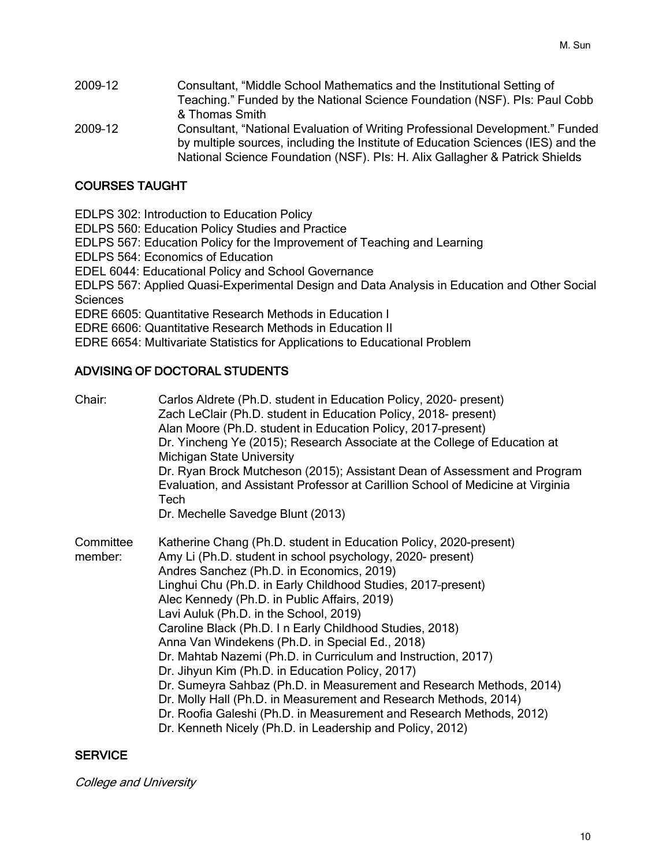2009–12 Consultant, "Middle School Mathematics and the Institutional Setting of Teaching." Funded by the National Science Foundation (NSF). PIs: Paul Cobb & Thomas Smith 2009–12 Consultant, "National Evaluation of Writing Professional Development." Funded by multiple sources, including the Institute of Education Sciences (IES) and the National Science Foundation (NSF). PIs: H. Alix Gallagher & Patrick Shields

## COURSES TAUGHT

EDLPS 302: Introduction to Education Policy EDLPS 560: Education Policy Studies and Practice EDLPS 567: Education Policy for the Improvement of Teaching and Learning EDLPS 564: Economics of Education EDEL 6044: Educational Policy and School Governance EDLPS 567: Applied Quasi-Experimental Design and Data Analysis in Education and Other Social **Sciences** EDRE 6605: Quantitative Research Methods in Education I EDRE 6606: Quantitative Research Methods in Education II EDRE 6654: Multivariate Statistics for Applications to Educational Problem

#### ADVISING OF DOCTORAL STUDENTS

| Chair:               | Carlos Aldrete (Ph.D. student in Education Policy, 2020- present)<br>Zach LeClair (Ph.D. student in Education Policy, 2018- present)<br>Alan Moore (Ph.D. student in Education Policy, 2017-present)<br>Dr. Yincheng Ye (2015); Research Associate at the College of Education at<br><b>Michigan State University</b><br>Dr. Ryan Brock Mutcheson (2015); Assistant Dean of Assessment and Program<br>Evaluation, and Assistant Professor at Carillion School of Medicine at Virginia<br>Tech<br>Dr. Mechelle Savedge Blunt (2013)                                                                                                                                                                                                                                                                                                                         |
|----------------------|------------------------------------------------------------------------------------------------------------------------------------------------------------------------------------------------------------------------------------------------------------------------------------------------------------------------------------------------------------------------------------------------------------------------------------------------------------------------------------------------------------------------------------------------------------------------------------------------------------------------------------------------------------------------------------------------------------------------------------------------------------------------------------------------------------------------------------------------------------|
| Committee<br>member: | Katherine Chang (Ph.D. student in Education Policy, 2020-present)<br>Amy Li (Ph.D. student in school psychology, 2020- present)<br>Andres Sanchez (Ph.D. in Economics, 2019)<br>Linghui Chu (Ph.D. in Early Childhood Studies, 2017-present)<br>Alec Kennedy (Ph.D. in Public Affairs, 2019)<br>Lavi Auluk (Ph.D. in the School, 2019)<br>Caroline Black (Ph.D. In Early Childhood Studies, 2018)<br>Anna Van Windekens (Ph.D. in Special Ed., 2018)<br>Dr. Mahtab Nazemi (Ph.D. in Curriculum and Instruction, 2017)<br>Dr. Jihyun Kim (Ph.D. in Education Policy, 2017)<br>Dr. Sumeyra Sahbaz (Ph.D. in Measurement and Research Methods, 2014)<br>Dr. Molly Hall (Ph.D. in Measurement and Research Methods, 2014)<br>Dr. Roofia Galeshi (Ph.D. in Measurement and Research Methods, 2012)<br>Dr. Kenneth Nicely (Ph.D. in Leadership and Policy, 2012) |

### **SERVICE**

College and University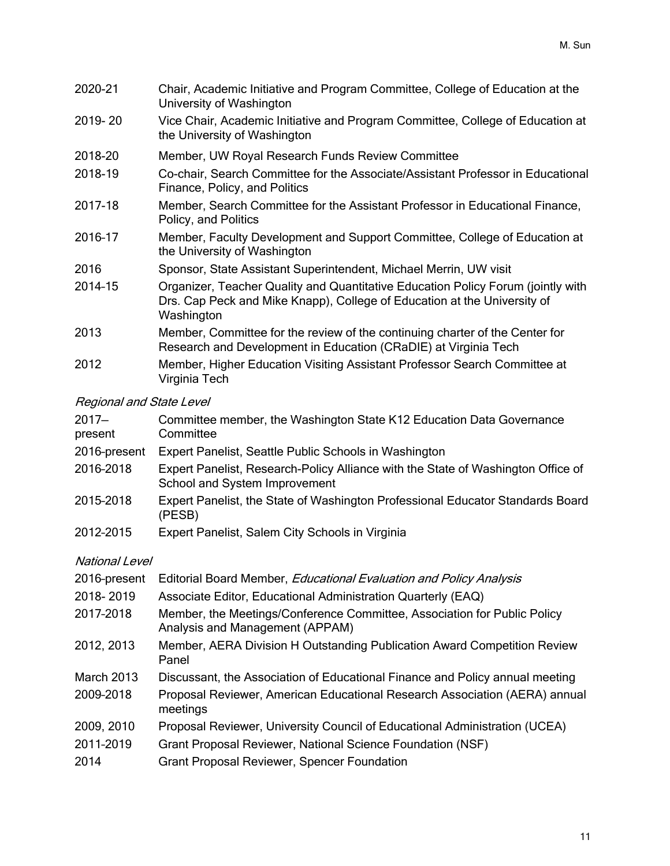| 2020-21 | Chair, Academic Initiative and Program Committee, College of Education at the<br>University of Washington                                                                  |
|---------|----------------------------------------------------------------------------------------------------------------------------------------------------------------------------|
| 2019-20 | Vice Chair, Academic Initiative and Program Committee, College of Education at<br>the University of Washington                                                             |
| 2018-20 | Member, UW Royal Research Funds Review Committee                                                                                                                           |
| 2018-19 | Co-chair, Search Committee for the Associate/Assistant Professor in Educational<br>Finance, Policy, and Politics                                                           |
| 2017-18 | Member, Search Committee for the Assistant Professor in Educational Finance,<br>Policy, and Politics                                                                       |
| 2016-17 | Member, Faculty Development and Support Committee, College of Education at<br>the University of Washington                                                                 |
| 2016    | Sponsor, State Assistant Superintendent, Michael Merrin, UW visit                                                                                                          |
| 2014-15 | Organizer, Teacher Quality and Quantitative Education Policy Forum (jointly with<br>Drs. Cap Peck and Mike Knapp), College of Education at the University of<br>Washington |
| 2013    | Member, Committee for the review of the continuing charter of the Center for<br>Research and Development in Education (CRaDIE) at Virginia Tech                            |
| 2012    | Member, Higher Education Visiting Assistant Professor Search Committee at<br>Virginia Tech                                                                                 |

# Regional and State Level

| $2017 -$<br>present   | Committee member, the Washington State K12 Education Data Governance<br>Committee                                 |
|-----------------------|-------------------------------------------------------------------------------------------------------------------|
| 2016-present          | Expert Panelist, Seattle Public Schools in Washington                                                             |
| 2016-2018             | Expert Panelist, Research-Policy Alliance with the State of Washington Office of<br>School and System Improvement |
| 2015-2018             | Expert Panelist, the State of Washington Professional Educator Standards Board<br>(PESB)                          |
| 2012-2015             | Expert Panelist, Salem City Schools in Virginia                                                                   |
| <b>National Level</b> |                                                                                                                   |

| 2016-present      | Editorial Board Member, <i>Educational Evaluation and Policy Analysis</i>                                   |
|-------------------|-------------------------------------------------------------------------------------------------------------|
| 2018-2019         | Associate Editor, Educational Administration Quarterly (EAQ)                                                |
| 2017-2018         | Member, the Meetings/Conference Committee, Association for Public Policy<br>Analysis and Management (APPAM) |
| 2012, 2013        | Member, AERA Division H Outstanding Publication Award Competition Review<br>Panel                           |
| <b>March 2013</b> | Discussant, the Association of Educational Finance and Policy annual meeting                                |
| 2009-2018         | Proposal Reviewer, American Educational Research Association (AERA) annual<br>meetings                      |
| 2009, 2010        | Proposal Reviewer, University Council of Educational Administration (UCEA)                                  |
| 2011-2019         | Grant Proposal Reviewer, National Science Foundation (NSF)                                                  |
| 2014              | <b>Grant Proposal Reviewer, Spencer Foundation</b>                                                          |